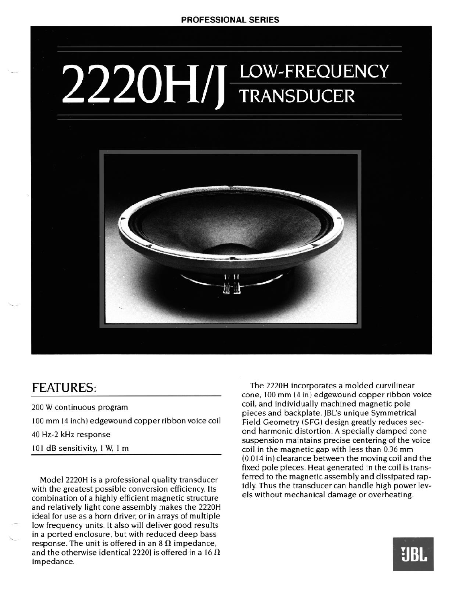## 2220HIJ LOW-FREQUENCY



## FEATURES:

200 W continuous program

100 mm (4 inch) edgewound copper ribbon voice coil

40 Hz-2 kHz response

101 dB sensitivity, 1 W, I m

Model 2220H is a professional quality transducer with the greatest possible conversion efficiency. Its combination of a highly efficient magnetic structure and relatively light cone assembly makes the 2220H ideal for use as a horn driver, or in arrays of multiple low frequency units. It also will deliver good results in a ported enclosure, but with reduced deep bass response. The unit is offered in an  $8 \Omega$  impedance, and the otherwise identical 2220J is offered in a 16  $\Omega$ impedance.

The 2220H incorporates a molded curvilinear **cone,** 100 **mm** (4 in) edgewound copper ribbon voice coil, and individually machined magnetic pole pieces and backplate. JBL's unique Symmetrical Field Geometry (SFG) design greatly reduces second harmonic distortion. A specially damped cone suspension maintains precise centering of the voice coil in the magnetic gap with less than 0.36 **mm (0.0 14 in) clearance** between the moving coil and the fixed pole pieces. Heat generated in the coil is transferred to the magnetic assembly and dissipated rapidly. Thus the transducer can handle high power levels without mechanical damage or overheating.